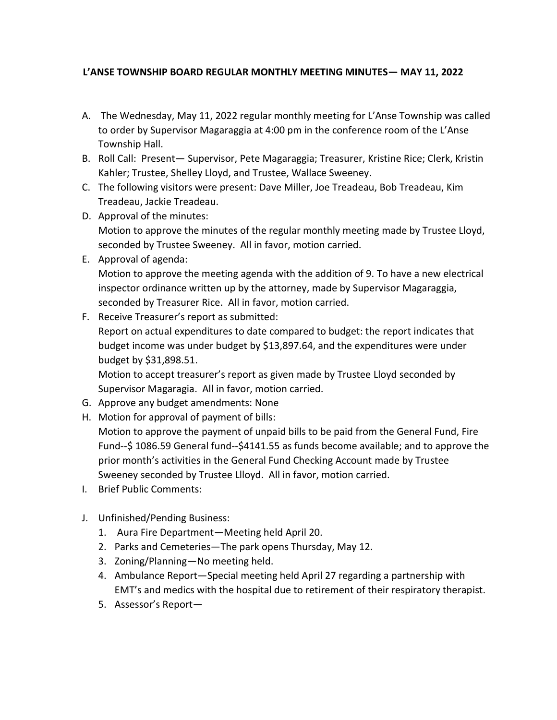## **L'ANSE TOWNSHIP BOARD REGULAR MONTHLY MEETING MINUTES— MAY 11, 2022**

- A. The Wednesday, May 11, 2022 regular monthly meeting for L'Anse Township was called to order by Supervisor Magaraggia at 4:00 pm in the conference room of the L'Anse Township Hall.
- B. Roll Call: Present— Supervisor, Pete Magaraggia; Treasurer, Kristine Rice; Clerk, Kristin Kahler; Trustee, Shelley Lloyd, and Trustee, Wallace Sweeney.
- C. The following visitors were present: Dave Miller, Joe Treadeau, Bob Treadeau, Kim Treadeau, Jackie Treadeau.
- D. Approval of the minutes: Motion to approve the minutes of the regular monthly meeting made by Trustee Lloyd, seconded by Trustee Sweeney. All in favor, motion carried.
- E. Approval of agenda:

Motion to approve the meeting agenda with the addition of 9. To have a new electrical inspector ordinance written up by the attorney, made by Supervisor Magaraggia, seconded by Treasurer Rice. All in favor, motion carried.

F. Receive Treasurer's report as submitted:

Report on actual expenditures to date compared to budget: the report indicates that budget income was under budget by \$13,897.64, and the expenditures were under budget by \$31,898.51.

Motion to accept treasurer's report as given made by Trustee Lloyd seconded by Supervisor Magaragia. All in favor, motion carried.

- G. Approve any budget amendments: None
- H. Motion for approval of payment of bills:

Motion to approve the payment of unpaid bills to be paid from the General Fund, Fire Fund--\$ 1086.59 General fund--\$4141.55 as funds become available; and to approve the prior month's activities in the General Fund Checking Account made by Trustee Sweeney seconded by Trustee Llloyd. All in favor, motion carried.

- I. Brief Public Comments:
- J. Unfinished/Pending Business:
	- 1. Aura Fire Department—Meeting held April 20.
	- 2. Parks and Cemeteries—The park opens Thursday, May 12.
	- 3. Zoning/Planning—No meeting held.
	- 4. Ambulance Report—Special meeting held April 27 regarding a partnership with EMT's and medics with the hospital due to retirement of their respiratory therapist.
	- 5. Assessor's Report—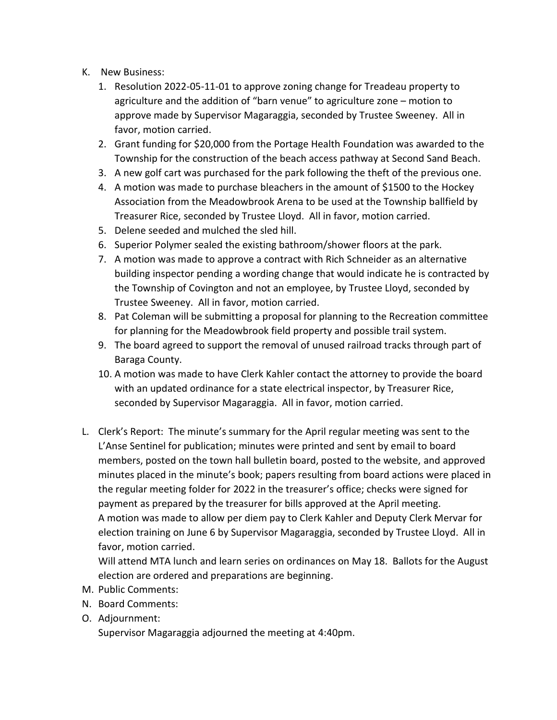- K. New Business:
	- 1. Resolution 2022-05-11-01 to approve zoning change for Treadeau property to agriculture and the addition of "barn venue" to agriculture zone – motion to approve made by Supervisor Magaraggia, seconded by Trustee Sweeney. All in favor, motion carried.
	- 2. Grant funding for \$20,000 from the Portage Health Foundation was awarded to the Township for the construction of the beach access pathway at Second Sand Beach.
	- 3. A new golf cart was purchased for the park following the theft of the previous one.
	- 4. A motion was made to purchase bleachers in the amount of \$1500 to the Hockey Association from the Meadowbrook Arena to be used at the Township ballfield by Treasurer Rice, seconded by Trustee Lloyd. All in favor, motion carried.
	- 5. Delene seeded and mulched the sled hill.
	- 6. Superior Polymer sealed the existing bathroom/shower floors at the park.
	- 7. A motion was made to approve a contract with Rich Schneider as an alternative building inspector pending a wording change that would indicate he is contracted by the Township of Covington and not an employee, by Trustee Lloyd, seconded by Trustee Sweeney. All in favor, motion carried.
	- 8. Pat Coleman will be submitting a proposal for planning to the Recreation committee for planning for the Meadowbrook field property and possible trail system.
	- 9. The board agreed to support the removal of unused railroad tracks through part of Baraga County.
	- 10. A motion was made to have Clerk Kahler contact the attorney to provide the board with an updated ordinance for a state electrical inspector, by Treasurer Rice, seconded by Supervisor Magaraggia. All in favor, motion carried.
- L. Clerk's Report: The minute's summary for the April regular meeting was sent to the L'Anse Sentinel for publication; minutes were printed and sent by email to board members, posted on the town hall bulletin board, posted to the website, and approved minutes placed in the minute's book; papers resulting from board actions were placed in the regular meeting folder for 2022 in the treasurer's office; checks were signed for payment as prepared by the treasurer for bills approved at the April meeting. A motion was made to allow per diem pay to Clerk Kahler and Deputy Clerk Mervar for election training on June 6 by Supervisor Magaraggia, seconded by Trustee Lloyd. All in favor, motion carried.

Will attend MTA lunch and learn series on ordinances on May 18. Ballots for the August election are ordered and preparations are beginning.

- M. Public Comments:
- N. Board Comments:
- O. Adjournment:

Supervisor Magaraggia adjourned the meeting at 4:40pm.